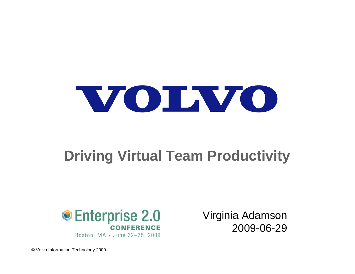

## **Driving Virtual Team Productivity**



Boston, MA . June 22-25, 2009

Virginia Adamson 2009-06-29

© Volvo Information Technology 2009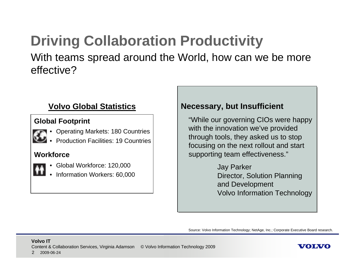### **Driving Collaboration Productivity** With teams spread around the World, how can we be more effective?

### **Volvo Global Statistics**

### **Global Footprint**

- Operating Markets: 180 Countries
	- Production Facilities: 19 Countries

### **Workforce**

- 
- Global Workforce: 120,000
- Information Workers: 60,000

### **Necessary, but Insufficient Necessary, but Insufficient**

"While our governing CIOs were happy "While our governing CIOs were happy with the innovation we've provided with the innovation we've provided through tools, they asked us to stop through tools, they asked us to stop focusing on the next rollout and start focusing on the next rollout and start supporting team effectiveness." supporting team effectiveness."

> Jay Parker Jay Parker Director, Solution Planning Director, Solution Planning and Development and Development Volvo Information Technology Volvo Information Technology

Source: Volvo Information Technology; NetAge, Inc.; Corporate Executive Board research.

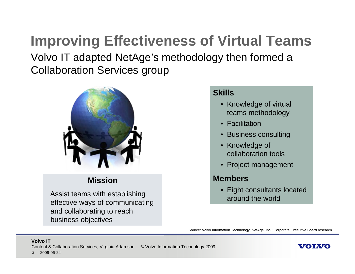## **Improving Effectiveness of Virtual Teams** Volvo IT adapted NetAge's methodology then formed a Collaboration Services group



### **Mission**

Assist teams with establishing effective ways of communicating and collaborating to reach business objectives

### **Skills**

- Knowledge of virtual teams methodology
- Facilitation
- Business consulting
- Knowledge of collaboration tools
- Project management

### **Members**

• Eight consultants located around the world

Source: Volvo Information Technology; NetAge, Inc.; Corporate Executive Board research.

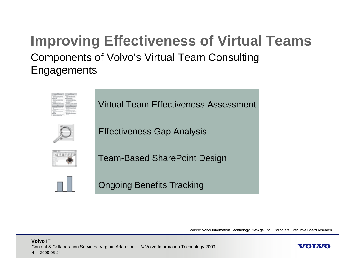## **Improving Effectiveness of Virtual Teams** Components of Volvo's Virtual Team Consulting Engagements



Virtual Team Effectiveness Assessment



Effectiveness Gap Analysis



Team-Based SharePoint Design



Ongoing Benefits Tracking

Source: Volvo Information Technology; NetAge, Inc.; Corporate Executive Board research.

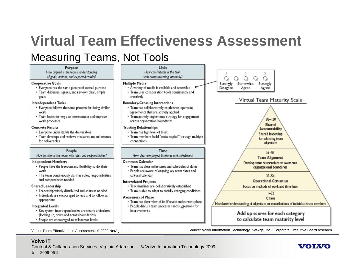## **Virtual Team Effectiveness Assessment**

### Measuring Teams, Not Tools

#### Purpose

How aligned is the team's understanding of goals, actions, and expected results?

#### **Cooperative Goals**

- . Everyone has the same picture of overall purpose
- · Team discusses, agrees, and reviews clear, simple goals

#### Interdependent Tasks

- . Everyone follows the same process for doing similar work
- Team looks for ways to interconnect and improve work processes

#### **Concrete Results**

- Everyone understands the deliverables
- Team develops and reviews measures and milestones for deliverables

#### People

How familiar is the team with roles and responsibilities?

#### **Independent Members**

- \* People have the freedom and flexibility to do their work
- The team continuously clarifies roles, responsibilities and competencies needed

#### Shared Leadership

- Leadership widely distributed and shifts as needed • Individuals are encouraged to lead and to follow as
- appropriate

#### **Integrated Levels**

- Key system interdependencies are clearly articulated (looking up, down and across boundaries)
- People are encouraged to talk across levels



#### cultural calendar **Interrelated Projects**

- Task timelines are collaboratively established
- Team is able to adapt to rapidly changing conditions

#### **Awareness of Phase**

- Team has clear view of its lifecycle and current phase
- People discuss team processes and suggestions for improvements



WOINZO

 $33 - 54$ 

**Operational Consensus** 

Focus on methods of work and time lines

 $1 - 32$ 

Chaos

No shared understanding of objectives or contributions of individual team members

Virtual Team Effectiveness Assessment. © 2009 NetAge, Inc. Source: Volvo Information Technology; NetAge, Inc.; Corporate Executive Board research.

#### **Volvo IT**

Content & Collaboration Services, Virginia Adamson © Volvo Information Technology 2009

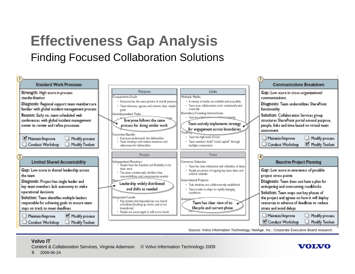## **Effectiveness Gap Analysis** Finding Focused Collaboration Solutions



#### **Volvo IT**

Content & Collaboration Services, Virginia Adamson © Volvo Information Technology 2009

#### 62009-06-24

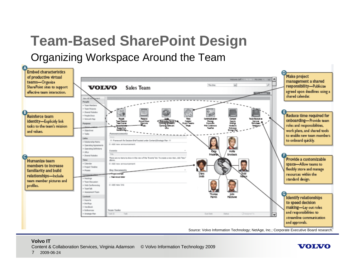## **Team-Based SharePoint Design** Organizing Workspace Around the Team



Source: Volvo Information Technology; NetAge, Inc.; Corporate Executive Board research.

VOLVO

#### **Volvo IT**

Content & Collaboration Services, Virginia Adamson © Volvo Information Technology 2009

#### 72009-06-24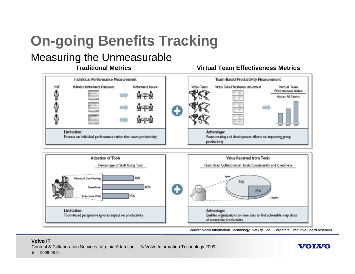# **On-going Benefits Tracking**

### Measuring the Unmeasurable

### **Traditional Metrics**

#### **Team-Based Productivity Measurement** Individual Performance Measurement Individual Performance Evaluations Performance Review **Mrtual Teams** Virtual Team Effectiveness Assessment Virtual Team Staff Effectiveness Index Ф 化二价 Across All Teams Limitation: Advantage: Focuses on individual performance rather than team productivity Focus training and development efforts on improving group productivity



Source: Volvo Information Technology; NetAge, Inc.; Corporate Executive Board research.

VOLVO

**Virtual Team Effectiveness Metrics**

#### **Volvo IT**

Content & Collaboration Services, Virginia Adamson © Volvo Information Technology 2009

82009-06-24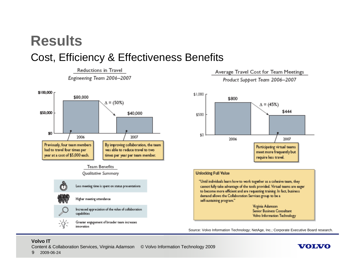## **Results**Cost, Efficiency & Effectiveness Benefits

Reductions in Travel Engineering Team 2006-2007



#### Average Travel Cost for Team Meetings

Product Support Team 2006-2007



#### **Unlocking Full Value**

"Until individuals learn how to work together as a cohesive team, they cannot fully take advantage of the tools provided. Virtual teams are eager to become more efficient and are requesting training. In fact, business demand allows the Collaboration Services group to be a self-sustaining program."

> Virginia Adamson Senior Business Consultant Volvo Information Technology

> > WOINZO

Source: Volvo Information Technology; NetAge, Inc.; Corporate Executive Board research.

#### **Volvo IT**

2009-06-24

9

Content & Collaboration Services, Virginia Adamson © Volvo Information Technology 2009